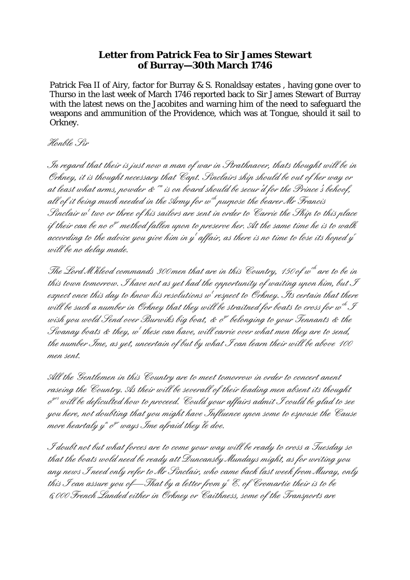## **Letter from Patrick Fea to Sir James Stewart of Burray—30th March 1746**

Patrick Fea II of Airy, factor for Burray & S. Ronaldsay estates , having gone over to Thurso in the last week of March 1746 reported back to Sir James Stewart of Burray with the latest news on the Jacobites and warning him of the need to safeguard the weapons and ammunition of the Providence, which was at Tongue, should it sail to Orkney.

Honble Sir

In regard that their is just now a man of war in Strathnaver, thats thought will be in Orkney, it is thought necessary that Capt. Sinclairs ship should be out of her way or at least what arms, powder  $\&$   $\cdot$   $^{\prime\prime}$  is on board should be secur d for the Prince's behoof, all of it being much needed in the Army for  $\omega^{ch}$  purpose the bearer Mr Francis Sinclair  $\omega^t$  two or three of his sailors are sent in order to Carrie the Ship to this place if their can be no  $e^{t}$  method fallen upon to preserve her. At the same time he is to walk according to the advice you give him in y $^i$  affair, as there is no time to lose its hoped y $^{'}$ will be no delay made.

The Lord M kleod commands 300 men that are in this Country, 150 of  $w^{ch}$  are to be in this town tomorrow. I have not as yet had the opportunity of waiting upon him, but  $\mathcal F$ expect once this day to know his resolutions w<sup>i</sup>vespect to Orkney. Its certain that there will be such a number in Orkney that they will be straitned for boats to cross for  $w^{ch}\mathcal{F}$ wish you wold Send over Burwiks big boat, & o<sup>n </sup>belonging to your Tennants & the Swanay boats & they,  $w^i$  these can have, will carrie over what men they are to send, the number Ime, as yet, uncertain of but by what I can learn their will be above 100 men sent.

All the Gentlemen in this Country are to meet tomorrow in order to concert anent raseing the Country. As their will be severall of their leading men absent its thought o yrs will be deficulted how to proceed. Could your affairs admit I could be glad to see you here, not doubting that you might have Influence upon some to espouse the Cause more heartaly y<sup>n</sup> o<sup>n w</sup>ays Ime afraid they'le doe.

I doubt not but what forces are to come your way will be ready to cross a Tuesday so that the boats wold need be ready att Duncansby Mundays might, as for writing you any news I need only refer to Mr Sinclair, who came back last week from Muray, only this S can assure you of—That by a letter from y  $^e$  E. of Cromartie their is to be 6,000 French Landed either in Orkney or Caithness, some of the Transports are